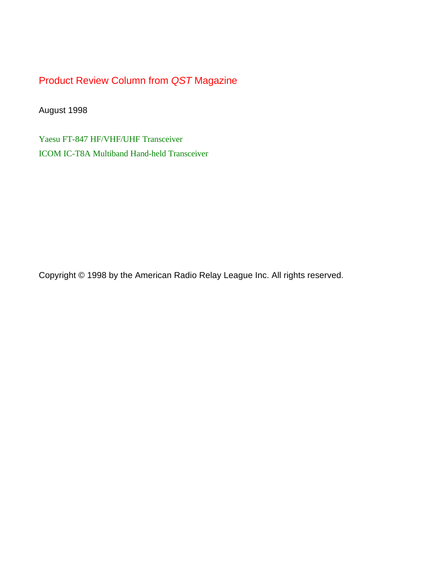Product Review Column from *QST* Magazine

August 1998

[Yaesu FT-847 HF/VHF/UHF Transceiver](#page-1-0) [ICOM IC-T8A Multiband Hand-held Transceiver](#page-6-0)

Copyright © 1998 by the American Radio Relay League Inc. All rights reserved.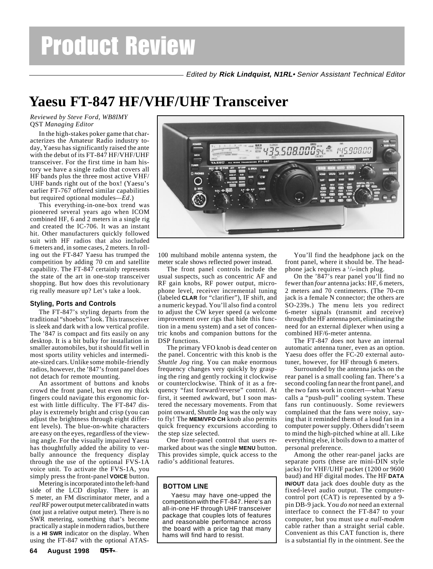Edited by **Rick Lindquist, N1RL**• Senior Assistant Technical Editor

# <span id="page-1-0"></span>**Yaesu FT-847 HF/VHF/UHF Transceiver**

*Reviewed by Steve Ford, WB8IMY* QST *Managing Editor*

In the high-stakes poker game that characterizes the Amateur Radio industry today, Yaesu has significantly raised the ante with the debut of its FT-847 HF/VHF/UHF transceiver. For the first time in ham history we have a single radio that covers all HF bands plus the three most active VHF/ UHF bands right out of the box! (Yaesu's earlier FT-767 offered similar capabilities but required optional modules*—Ed*.)

This everything-in-one-box trend was pioneered several years ago when ICOM combined HF, 6 and 2 meters in a single rig and created the IC-706. It was an instant hit. Other manufacturers quickly followed suit with HF radios that also included 6 meters and, in some cases, 2 meters. In rolling out the FT-847 Yaesu has trumped the competition by adding 70 cm and satellite capability. The FT-847 certainly represents the state of the art in one-stop transceiver shopping. But how does this revolutionary rig really measure up? Let's take a look.

### **Styling, Ports and Controls**

The FT-847's styling departs from the traditional "shoebox" look. This transceiver is sleek and dark with a low vertical profile. The '847 is compact and fits easily on any desktop. It is a bit bulky for installation in smaller automobiles, but it should fit well in most sports utility vehicles and intermediate-sized cars. Unlike some mobile-friendly radios, however, the '847's front panel does not detach for remote mounting.

An assortment of buttons and knobs crowd the front panel, but even my thick fingers could navigate this ergonomic forest with little difficulty. The FT-847 display is extremely bright and crisp (you can adjust the brightness through eight different levels). The blue-on-white characters are easy on the eyes, regardless of the viewing angle. For the visually impaired Yaesu has thoughtfully added the ability to verbally announce the frequency display through the use of the optional FVS-1A voice unit. To activate the FVS-1A, you simply press the front-panel **VOICE** button.

Metering is incorporated into the left-hand side of the LCD display. There is an S meter, an FM discriminator meter, and a *real* RF power output meter calibrated in watts (not just a relative output meter). There is no SWR metering, something that's become practically a staple in modern radios, but there is a **HI SWR** indicator on the display. When using the FT-847 with the optional ATAS-



100 multiband mobile antenna system, the meter scale shows reflected power instead.

The front panel controls include the usual suspects, such as concentric AF and RF gain knobs, RF power output, microphone level, receiver incremental tuning (labeled **CLAR** for "clarifier"), IF shift, and a numeric keypad. You'll also find a control to adjust the CW keyer speed (a welcome improvement over rigs that hide this function in a menu system) and a set of concentric knobs and companion buttons for the DSP functions.

The primary VFO knob is dead center on the panel. Concentric with this knob is the *Shuttle Jog* ring. You can make enormous frequency changes very quickly by grasping the ring and gently rocking it clockwise or counterclockwise. Think of it as a frequency "fast forward/reverse" control. At first, it seemed awkward, but I soon mastered the necessary movements. From that point onward, Shuttle Jog was the only way to fly! The **MEM/VFO CH** knob also permits quick frequency excursions according to the step size selected.

One front-panel control that users remarked about was the single **MENU** button. This provides simple, quick access to the radio's additional features.

#### **BOTTOM LINE**

Yaesu may have one-upped the competition with the FT-847. Here's an all-in-one HF through UHF transceiver package that couples lots of features and reasonable performance across the board with a price tag that many hams will find hard to resist.

You'll find the headphone jack on the front panel, where it should be. The headphone jack requires a <sup>1</sup>/<sub>4</sub>-inch plug.

On the '847's rear panel you'll find no fewer than *four* antenna jacks: HF, 6 meters, 2 meters and 70 centimeters. (The 70-cm jack is a female N connector; the others are SO-239s.) The menu lets you redirect 6-meter signals (transmit and receive) through the HF antenna port, eliminating the need for an external diplexer when using a combined HF/6-meter antenna.

The FT-847 does not have an internal automatic antenna tuner, even as an option. Yaesu does offer the FC-20 external autotuner, however, for HF through 6 meters.

Surrounded by the antenna jacks on the rear panel is a small cooling fan. There's a second cooling fan near the front panel, and the two fans work in concert—what Yaesu calls a "push-pull" cooling system. These fans run continuously. Some reviewers complained that the fans were noisy, saying that it reminded them of a loud fan in a computer power supply. Others didn't seem to mind the high-pitched whine at all. Like everything else, it boils down to a matter of personal preference.

Among the other rear-panel jacks are separate ports (these are mini-DIN style jacks) for VHF/UHF packet (1200 or 9600 baud) and HF digital modes. The HF **DATA IN/OUT** data jack does double duty as the fixed-level audio output. The computercontrol port (CAT) is represented by a 9 pin DB-9 jack. You *do not* need an external interface to connect the FT-847 to your computer, but you must use *a null-modem* cable rather than a straight serial cable. Convenient as this CAT function is, there is a substantial fly in the ointment. See the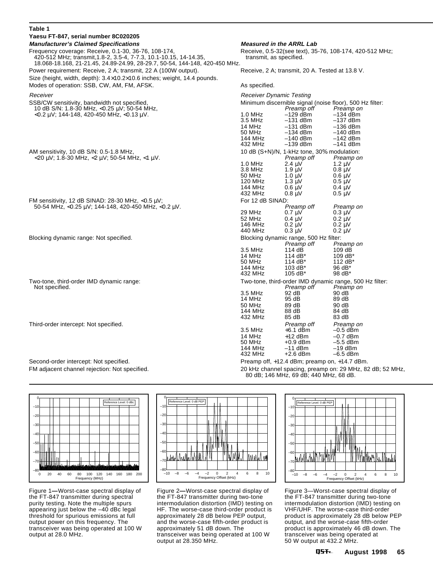#### **Table 1**

| Yaesu FT-847, serial number 8C020205                                                                                                                                                                     |                                                                                                                        |                                                                                          |                                                                                       |  |
|----------------------------------------------------------------------------------------------------------------------------------------------------------------------------------------------------------|------------------------------------------------------------------------------------------------------------------------|------------------------------------------------------------------------------------------|---------------------------------------------------------------------------------------|--|
| <b>Manufacturer's Claimed Specifications</b>                                                                                                                                                             | <b>Measured in the ARRL Lab</b>                                                                                        |                                                                                          |                                                                                       |  |
| Frequency coverage: Receive, 0.1-30, 36-76, 108-174,<br>420-512 MHz; transmit, 1.8-2, 3.5-4, 7-7.3, 10.1-10.15, 14-14.35,<br>18.068-18.168, 21-21.45, 24.89-24.99, 28-29.7, 50-54, 144-148, 420-450 MHz. | transmit, as specified.                                                                                                |                                                                                          | Receive, 0.5-32(see text), 35-76, 108-174, 420-512 MHz;                               |  |
| Power requirement: Receive, 2 A; transmit, 22 A (100W output).                                                                                                                                           |                                                                                                                        | Receive, 2 A; transmit, 20 A. Tested at 13.8 V.                                          |                                                                                       |  |
| Size (height, width, depth): $3.4 \times 10.2 \times 10.6$ inches; weight, 14.4 pounds.<br>Modes of operation: SSB, CW, AM, FM, AFSK.                                                                    | As specified.                                                                                                          |                                                                                          |                                                                                       |  |
| Receiver                                                                                                                                                                                                 |                                                                                                                        |                                                                                          |                                                                                       |  |
| SSB/CW sensitivity, bandwidth not specified,<br>10 dB S/N: 1.8-30 MHz, <0.25 μV; 50-54 MHz,                                                                                                              | <b>Receiver Dynamic Testing</b><br>Minimum discernible signal (noise floor), 500 Hz filter:<br>Preamp off<br>Preamp on |                                                                                          |                                                                                       |  |
| <0.2 μV; 144-148, 420-450 MHz, <0.13 μV.                                                                                                                                                                 | $1.0$ MHz<br>3.5 MHz<br>14 MHz<br>50 MHz<br><b>144 MHz</b><br>432 MHz                                                  | $-129$ dBm<br>$-131$ dBm<br>$-131$ dBm<br>$-134$ dBm<br>$-140$ dBm<br>$-139$ dBm         | $-134$ dBm<br>$-137$ dBm<br>$-136$ dBm<br>$-140$ dBm<br>$-142$ dBm<br>$-141$ dBm      |  |
|                                                                                                                                                                                                          |                                                                                                                        |                                                                                          |                                                                                       |  |
| AM sensitivity, 10 dB S/N: 0.5-1.8 MHz,<br>$<$ 20 $\mu$ V; 1.8-30 MHz, $<$ 2 $\mu$ V; 50-54 MHz, $<$ 1 $\mu$ V.                                                                                          | 1.0 MHz                                                                                                                | 10 dB $(S+N)/N$ , 1-kHz tone, 30% modulation:<br>Preamp off<br>$2.4 \text{ }\mu\text{V}$ | Preamp on<br>$1.2 \mu V$                                                              |  |
|                                                                                                                                                                                                          | 3.8 MHz<br>50 MHz<br>120 MHz<br>144 MHz<br>432 MHz                                                                     | $1.9 \mu V$<br>$1.0 \mu V$<br>$1.3 \mu V$<br>$0.6 \text{ }\mu\text{V}$<br>$0.8 \mu V$    | $0.8 \text{ }\mu\text{V}$<br>$0.6 \mu V$<br>$0.5 \mu V$<br>$0.4 \mu V$<br>$0.5 \mu V$ |  |
| FM sensitivity, 12 dB SINAD: 28-30 MHz, $<$ 0.5 µV;                                                                                                                                                      | For 12 dB SINAD:                                                                                                       |                                                                                          |                                                                                       |  |
| 50-54 MHz, <0.25 $\mu$ V; 144-148, 420-450 MHz, <0.2 $\mu$ V.                                                                                                                                            | 29 MHz<br>52 MHz<br>146 MHz<br>440 MHz                                                                                 | Preamp off<br>$0.7 \mu V$<br>$0.4 \mu V$<br>$0.2 \mu V$<br>$0.3 \mu V$                   | Preamp on<br>$0.3 \mu V$<br>$0.2 \mu V$<br>$0.2 \mu V$<br>$0.2 \mu V$                 |  |
| Blocking dynamic range: Not specified.                                                                                                                                                                   | Blocking dynamic range, 500 Hz filter:<br>Preamp off                                                                   |                                                                                          | Preamp on                                                                             |  |
|                                                                                                                                                                                                          | 3.5 MHz<br>14 MHz<br>50 MHz<br>144 MHz<br>432 MHz                                                                      | 114 dB<br>114 dB*<br>114 dB*<br>$103 dB*$<br>105 dB*                                     | 109 dB<br>109 $dB^*$<br>112 $dB^*$<br>96 dB*<br>98 dB*                                |  |
| Two-tone, third-order IMD dynamic range:<br>Not specified.                                                                                                                                               |                                                                                                                        | Preamp off                                                                               | Two-tone, third-order IMD dynamic range, 500 Hz filter:<br>Preamp on                  |  |
|                                                                                                                                                                                                          | 3.5 MHz<br>14 MHz<br>50 MHz<br>144 MHz<br>432 MHz                                                                      | 92 dB<br>95 dB<br>89 dB<br>88 dB<br>85 dB                                                | 90 dB<br>89 dB<br>90 dB<br>84 dB<br>83 dB                                             |  |
| Third-order intercept: Not specified.                                                                                                                                                                    | 3.5 MHz<br>14 MHz<br>50 MHz<br>144 MHz<br>432 MHz                                                                      | Preamp off<br>$+6.1$ dBm<br>$+12$ dBm<br>$+0.9$ dBm<br>$-11$ dBm<br>$+2.6$ dBm           | Preamp on<br>$-0.5$ dBm<br>$-0.7$ dBm<br>$-5.5$ dBm<br>$-19$ dBm<br>$-6.5$ dBm        |  |
| Second-order intercept: Not specified.                                                                                                                                                                   |                                                                                                                        | Preamp off, +12.4 dBm; preamp on, +14.7 dBm.                                             |                                                                                       |  |
| FM adjacent channel rejection: Not specified.                                                                                                                                                            | 20 kHz channel spacing, preamp on: 29 MHz, 82 dB; 52 MHz,<br>80 dB; 146 MHz, 69 dB; 440 MHz, 68 dB.                    |                                                                                          |                                                                                       |  |

0 Reference Level: 0 dBc

–10 –20 –30 –40 –50 –60 –70 TITUTTIT –80 0 20 40 60 80 100 120 140 160 180 200 Frequency (MHz)

Figure 1**—**Worst-case spectral display of the FT-847 transmitter during spectral purity testing. Note the multiple spurs appearing just below the –40 dBc legal threshold for spurious emissions at full output power on this frequency. The transceiver was being operated at 100 W output at 28.0 MHz.



Figure 2**—**Worst-case spectral display of the FT-847 transmitter during two-tone intermodulation distortion (IMD) testing on HF. The worse-case third-order product is approximately 28 dB below PEP output, and the worse-case fifth-order product is approximately 51 dB down. The transceiver was being operated at 100 W output at 28.350 MHz.



Figure 3—Worst-case spectral display of the FT-847 transmitter during two-tone intermodulation distortion (IMD) testing on VHF/UHF. The worse-case third-order product is approximately 28 dB below PEP output, and the worse-case fifth-order product is approximately 46 dB down. The transceiver was being operated at 50 W output at 432.2 MHz.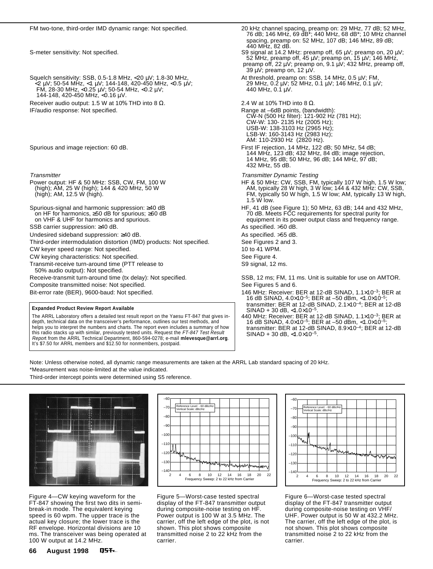Squelch sensitivity: SSB, 0.5-1.8 MHz, <20  $\mu$ V; 1.8-30 MHz, <2 µV; 50-54 MHz, <1 µV; 144-148, 420-450 MHz, <0.5 µV; 29 MHz, 0.2 µV; 52 MHz, 0.1 µV; 146 MHz, 0.1 µV; FM, 28-30 MHz, <0.25 µV; 50-54 MHz, <0.2 µV; 440 MHz, 0.1 µV. 144-148, 420-450 MHz, <0.16 µV.

Receiver audio output: 1.5 W at 10% THD into 8  $\Omega$ .<br>1 IF/audio response: Not specified. 2.4 W at 10% THD into 8  $\Omega$ .<br>1 Range at -6dB points, (banger at -6dB points, (banger)

- Transmitter<br>
Power output: HF & 50 MHz: SSB, CW, FM, 100 W<br>
(high); AM, 25 W (high); 144 & 420 MHz, 50 W<br>
AM, typically 28 W high, 3 W
- 
- SSB carrier suppression: ≥40 dB. As specified. >50 dB.
- 
- 
- Third-order intermodulation distortion (IMD) products: Not specified. See Figures 2 and 3. CW keyer speed range: Not specified. 10 to 41 WPM.
- CW keying characteristics: Not specified. The second seed the See Figure 4.
- 
- Transmit-receive turn-around time (PTT release to S9 signal, 12 ms. 50% audio output): Not specified.
- 

Composite transmitted noise: Not specified. See Figures 5 and 6.

#### **Expanded Product Review Report Available**

The ARRL Laboratory offers a detailed test result report on the Yaesu FT-847 that gives indepth, technical data on the transceiver's performance, outlines our test methods, and helps you to interpret the numbers and charts. The report even includes a summary of how this radio stacks up with similar, previously tested units. Request the FT-847 Test Result Report from the ARRL Technical Department, 860-594-0278; e-mail **mlevesque@arrl.org**. It's \$7.50 for ARRL members and \$12.50 for nonmembers, postpaid.

 76 dB; 146 MHz, 69 dB\*; 440 MHz, 68 dB\*; 10 MHz channel spacing, preamp on: 52 MHz, 107 dB; 146 MHz, 89 dB; 440 MHz, 82 dB. S-meter sensitivity: Not specified.  $\blacksquare$  states that the set of the SS signal at 14.2 MHz: preamp off, 65  $\mu$ V; preamp on, 20  $\mu$ V; 52 MHz, preamp off, 45 µV; preamp on, 15 µV; 146 MHz, preamp off, 22 µV; preamp on, 9.1 µV; 432 MHz, preamp off, 39  $\mu$ V; preamp on, 12  $\mu$ V.<br>At threshold, preamp on: SSB, 14 MHz, 0.5  $\mu$ V; FM, 29 MHz, 0.2  $\mu$ V; 52 MHz, 0.1  $\mu$ V; 146 MHz, 0.1  $\mu$ V; Range at –6dB points, (bandwidth): CW-N (500 Hz filter): 121-902 Hz (781 Hz); CW-W: 130- 2135 Hz (2005 Hz); USB-W: 138-3103 Hz (2965 Hz); LSB-W: 160-3143 Hz (2983 Hz); AM: 110-2930 Hz (2820 Hz). Spurious and image rejection: 60 dB. First IF rejection, 14 MHz, 122 dB; 50 MHz, 54 dB; 144 MHz, 123 dB; 432 MHz, 84 dB; image rejection, 14 MHz, 95 dB; 50 MHz, 96 dB; 144 MHz, 97 dB; 432 MHz, 55 dB. Power output: HF & 50 MHz: SSB, CW, FM, 100 W HF & 50 MHz: CW, SSB, FM, typically 107 W high, 1.5 W low; (high); AM, 25 W (high); 144 & 420 MHz, 50 W AM, typically 28 W high, 3 W low; 144 & 432 MHz: CW, SSB, (high); AM, 12.5 W (high). FM, typically 50 W high, 1.5 W low; AM, typically 13 W high, 1.5 W low. Spurious-signal and harmonic suppression: ≥40 dB HF, 41 dB (see Figure 1); 50 MHz, 63 dB; 144 and 432 MHz, Spectral purity for<br>To dB. Meets FCC requirements for spectral purity for on HF for harmonics, ≥50 dB for spurious; ≥60 dB 70 dB. Meets FCC requirements for spectral purity for equipment in its power output class and frequency range. Undesired sideband suppression: ≥40 dB. As specified. >55 dB. Receive-transmit turn-around time (tx delay): Not specified. SSB, 12 ms; FM, 11 ms. Unit is suitable for use on AMTOR. Bit-error rate (BER), 9600-baud: Not specified. 146 MHz: Receiver: BER at 12-dB SINAD, 1.1×10<sup>-3</sup>; BER at 15-dB SINAD, 1.1×10<sup>-3</sup>; BER at

- 16 dB SINAD, 4.0×10–5; BER at –50 dBm, <1.0×10–5; transmitter: BER at 12-dB SINAD, 2.1×10–4; BER at 12-dB  $SINAD + 30$  dB, <1.0×10<sup>-5</sup>
- 440 MHz: Receiver: BER at 12-dB SINAD, 1.1×10–3; BER at 16 dB SINAD, 4.0×10–5; BER at –50 dBm, <1.0×10–5; transmitter: BER at 12-dB SINAD, 8.9×10–4; BER at 12-dB  $SINAD + 30$  dB, <1.0×10<sup>-5</sup>.

Note: Unless otherwise noted, all dynamic range measurements are taken at the ARRL Lab standard spacing of 20 kHz. \*Measurement was noise-limited at the value indicated.

Third-order intercept points were determined using S5 reference.



Figure 4—CW keying waveform for the FT-847 showing the first two dits in semibreak-in mode. The equivalent keying speed is 60 wpm. The upper trace is the actual key closure; the lower trace is the RF envelope. Horizontal divisions are 10 ms. The transceiver was being operated at 100 W output at 14.2 MHz.



Figure 5—Worst-case tested spectral display of the FT-847 transmitter output during composite-noise testing on HF. Power output is 100 W at 3.5 MHz. The carrier, off the left edge of the plot, is not shown. This plot shows composite transmitted noise 2 to 22 kHz from the carrier.



Figure 6—Worst-case tested spectral display of the FT-847 transmitter output during composite-noise testing on VHF/ UHF. Power output is 50 W at 432.2 MHz. The carrier, off the left edge of the plot, is not shown. This plot shows composite transmitted noise 2 to 22 kHz from the carrier.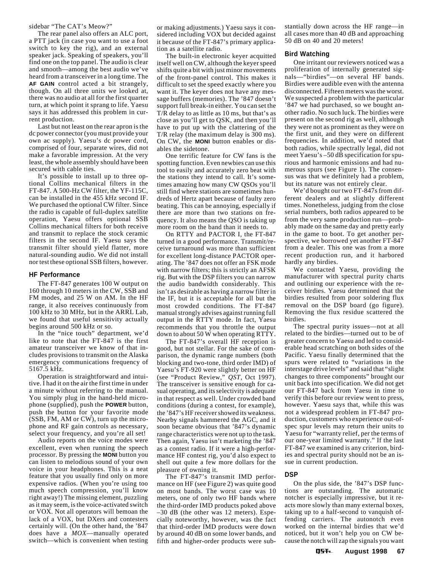#### sidebar "The CAT's Meow?"

The rear panel also offers an ALC port, a PTT jack (in case you want to use a foot switch to key the rig), and an external speaker jack. Speaking of speakers, you'll find one on the top panel. The audio is clear and smooth—among the best audio we've heard from a transceiver in a long time. The **AF GAIN** control acted a bit strangely, though. On all three units we looked at, there was no audio at all for the first quarter turn, at which point it sprang to life. Yaesu says it has addressed this problem in current production.

Last but not least on the rear apron is the dc power connector (you must provide your own ac supply). Yaesu's dc power cord, comprised of four, separate wires, did not make a favorable impression. At the very least, the whole assembly should have been secured with cable ties.

It's possible to install up to three optional Collins mechanical filters in the FT-847. A 500-Hz CW filter, the YF-115C, can be installed in the 455 kHz second IF. We purchased the optional CW filter. Since the radio is capable of full-duplex satellite operation, Yaesu offers optional SSB Collins mechanical filters for both receive and transmit to replace the stock ceramic filters in the second IF. Yaesu says the transmit filter should yield flatter, more natural-sounding audio. We did not install nor test these optional SSB filters, however.

#### **HF Performance**

The FT-847 generates 100 W output on 160 through 10 meters in the CW, SSB and FM modes, and 25 W on AM. In the HF range, it also receives continuously from 100 kHz to 30 MHz, but in the ARRL Lab, we found that useful sensitivity actually begins around 500 kHz or so.

In the "nice touch" department, we'd like to note that the FT-847 is the first amateur transceiver we know of that includes provisions to transmit on the Alaska emergency communications frequency of 5167.5 kHz.

Operation is straightforward and intuitive. I had it on the air the first time in under a minute without referring to the manual. You simply plug in the hand-held microphone (supplied), push the **POWER** button, push the button for your favorite mode (SSB, FM, AM or CW), turn up the microphone and RF gain controls as necessary, select your frequency, and you're all set!

Audio reports on the voice modes were excellent, even when running the speech processor. By pressing the **MONI** button you can listen to melodious sound of your own voice in your headphones. This is a neat feature that you usually find only on more expensive radios. (When you're using too much speech compression, you'll know right away!) The missing element, puzzling as it may seem, is the voice-activated switch or VOX. Not all operators will bemoan the lack of a VOX, but DXers and contesters certainly will. (On the other hand, the '847 does have a *MOX*—manually operated switch—which is convenient when testing

or making adjustments.) Yaesu says it considered including VOX but decided against it because of the FT-847's primary application as a satellite radio.

The built-in electronic keyer acquitted itself well on CW, although the keyer speed shifts quite a bit with just minor movements of the front-panel control. This makes it difficult to set the speed exactly where you want it. The keyer does not have any message buffers (memories). The '847 doesn't support full break-in either. You can set the T/R delay to as little as 10 ms, but that's as close as you'll get to QSK, and then you'll have to put up with the clattering of the T/R relay (the maximum delay is 300 ms). On CW, the **MONI** button enables or disables the sidetone.

One terrific feature for CW fans is the spotting function. Even newbies can use this tool to easily and accurately zero beat with the stations they intend to call. It's sometimes amazing how many CW QSOs you'll still find where stations are sometimes hundreds of Hertz apart because of faulty zero beating. This can be annoying, especially if there are more than two stations on frequency. It also means the QSO is taking up more room on the band than it needs to.

On RTTY and PACTOR I, the FT-847 turned in a good performance. Transmit/receive turnaround was more than sufficient for excellent long-distance PACTOR operating. The '847 does not offer an FSK mode with narrow filters; this is strictly an AFSK rig. But with the DSP filters you can narrow the audio bandwidth considerably. This isn't as desirable as having a narrow filter in the IF, but it is acceptable for all but the most crowded conditions. The FT-847 manual strongly advises against running full output in the RTTY mode. In fact, Yaesu recommends that you throttle the output down to about 50 W when operating RTTY.

The FT-847's overall HF reception is good, but not stellar. For the sake of comparison, the dynamic range numbers (both blocking and two-tone, third order IMD) of Yaesu's FT-920 were slightly better on HF (see "Product Review," *QST*, Oct 1997). The transceiver is sensitive enough for casual operating, and its selectivity is adequate in that respect as well. Under crowded band conditions (during a contest, for example), the '847's HF receiver showed its weakness. Nearby signals hammered the AGC, and it soon became obvious that '847's dynamic range characteristics were not up to the task. Then again, Yaesu isn't marketing the '847 as a contest radio. If it were a high-performance HF contest rig, you'd also expect to shell out quite a few more dollars for the pleasure of owning it.

The FT-847's transmit IMD performance on HF (see Figure 2) was quite good on most bands. The worst case was 10 meters, one of only two HF bands where the third-order IMD products poked above –30 dB (the other was 12 meters). Especially noteworthy, however, was the fact that third-order IMD products were down by around 40 dB on some lower bands, and fifth and higher-order products were substantially down across the HF range—in all cases more than 40 dB and approaching 50 dB on 40 and 20 meters!

#### **Bird Watching**

One irritant our reviewers noticed was a proliferation of internally generated signals—"birdies"—on several HF bands. Birdies were audible even with the antenna disconnected. Fifteen meters was the worst. We suspected a problem with the particular '847 we had purchased, so we bought another radio. No such luck. The birdies were present on the second rig as well, although they were not as prominent as they were on the first unit, and they were on different frequencies. In addition, we'd noted that both radios, while spectrally legal, did not meet Yaesu's –50 dB specification for spurious and harmonic emissions and had numerous spurs (see Figure 1). The consensus was that we definitely had a problem, but its nature was not entirely clear.

We'd bought our two FT-847s from different dealers and at slightly different times. Nonetheless, judging from the close serial numbers, both radios appeared to be from the very same production run—probably made on the same day and pretty early in the game to boot. To get another perspective, we borrowed yet another FT-847 from a dealer. This one was from a more recent production run, and it harbored hardly any birdies.

We contacted Yaesu, providing the manufacturer with spectral purity charts and outlining our experience with the receiver birdies. Yaesu determined that the birdies resulted from poor soldering flux removal on the DSP board (go figure). Removing the flux residue scattered the birdies.

The spectral purity issues—not at all related to the birdies—turned out to be of greater concern to Yaesu and led to considerable head scratching on both sides of the Pacific. Yaesu finally determined that the spurs were related to "variations in the interstage drive levels" and said that "slight changes to three components" brought our unit back into specification. We did not get our FT-847 back from Yaesu in time to verify this before our review went to press, however. Yaesu says that, while this was not a widespread problem in FT-847 production, customers who experience out-ofspec spur levels may return their units to Yaesu for "warranty relief, per the terms of our one-year limited warranty." If the last FT-847 we examined is any criterion, birdies and spectral purity should not be an issue in current production.

#### **DSP**

On the plus side, the '847's DSP functions are outstanding. The automatic notcher is especially impressive, but it reacts more slowly than many external boxes, taking up to a half-second to vanquish offending carriers. The autonotch even worked on the internal birdies that we'd noticed, but it won't help you on CW because the notch will zap the signals you want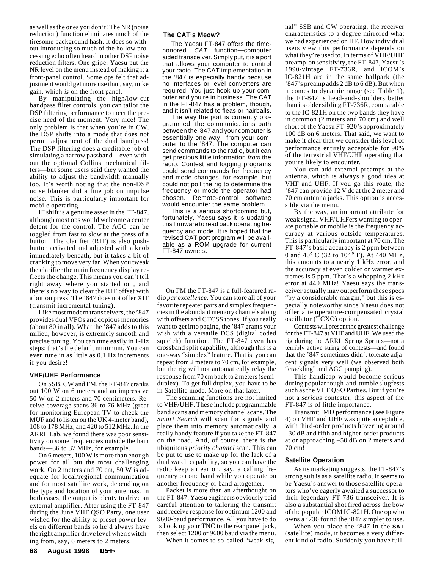as well as the ones you don't! The NR (noise reduction) function eliminates much of the tiresome background hash. It does so without introducing so much of the hollow processing echo often heard in other DSP noise reduction filters. One gripe: Yaesu put the NR level on the menu instead of making it a front-panel control. Some ops felt that adjustment would get more use than, say, mike gain, which *is* on the front panel.

By manipulating the high/low-cut bandpass filter controls, you can tailor the DSP filtering performance to meet the precise need of the moment. Very nice! The only problem is that when you're in CW, the DSP shifts into a mode that does not permit adjustment of the dual bandpass! The DSP filtering does a creditable job of simulating a narrow passband—even without the optional Collins mechanical filters—but some users said they wanted the ability to adjust the bandwidth manually too. It's worth noting that the non-DSP noise blanker did a fine job on impulse noise. This is particularly important for mobile operating.

IF shift is a genuine asset in the FT-847, although most ops would welcome a center detent for the control. The AGC can be toggled from fast to slow at the press of a button. The clarifier (RIT) is also pushbutton activated and adjusted with a knob immediately beneath, but it takes a bit of cranking to move very far. When you tweak the clarifier the main frequency display reflects the change. This means you can't tell right away where you started out, and there's no way to clear the RIT offset with a button press. The '847 does not offer XIT (transmit incremental tuning).

Like most modern transceivers, the '847 provides dual VFOs and copious memories (about 80 in all). What the '847 adds to this milieu, however, is extremely smooth and precise tuning. You can tune easily in 1-Hz steps; that's the default minimum. You can even tune in as little as 0.1 Hz increments if you desire!

#### **VHF/UHF Performance**

On SSB, CW and FM, the FT-847 cranks out 100 W on 6 meters and an impressive 50 W on 2 meters and 70 centimeters. Receive coverage spans 36 to 76 MHz (great for monitoring European TV to check the MUF and to listen on the UK 4-meter band), 108 to 178 MHz, and 420 to 512 MHz. In the ARRL Lab, we found there was poor sensitivity on some frequencies outside the ham bands—36 to 37 MHz, for example.

On 6 meters, 100 W is more than enough power for all but the most challenging work. On 2 meters and 70 cm, 50 W is adequate for local/regional communication and for most satellite work, depending on the type and location of your antennas. In both cases, the output is plenty to drive an external amplifier. After using the FT-847 during the June VHF QSO Party, one user wished for the ability to preset power levels on different bands so he'd always have the right amplifier drive level when switching from, say, 6 meters to 2 meters.

#### **The CAT's Meow?**

The Yaesu FT-847 offers the timehonored CAT function—computer aided transceiver. Simply put, it is a port that allows your computer to control your radio. The CAT implementation in the '847 is especially handy because no interfaces or level converters are required. You just hook up your computer and you're in business. The CAT in the FT-847 has a problem, though, and it isn't related to fleas or hairballs.

The way the port is currently programmed, the communications path between the '847 and your computer is essentially one-way—from your computer to the '847. The computer can send commands to the radio, but it can get precious little information from the radio. Contest and logging programs could send commands for frequency and mode changes, for example, but could not poll the rig to determine the frequency or mode the operator had chosen. Remote-control software would encounter the same problem.

This is a serious shortcoming but, fortunately, Yaesu says it is updating this firmware to read back operating frequency and mode. It is hoped that the revised CAT port program will be available as a ROM upgrade for current FT-847 owners.

On FM the FT-847 is a full-featured radio *par excellence*. You can store all of your favorite repeater pairs and simplex frequencies in the abundant memory channels along with offsets and CTCSS tones. If you really want to get into paging, the '847 grants your wish with a versatile DCS (digital coded squelch) function. The FT-847 even has crossband split capability, although this is a one-way "simplex" feature. That is, you can repeat from 2 meters to 70 cm, for example, but the rig will not automatically relay the response from 70 cm back to 2 meters (semiduplex). To get full duplex, you have to be in Satellite mode. More on that later.

The scanning functions are not limited to VHF/UHF. These include programmable band scans and memory channel scans. The *Smart Search* will scan for signals and place them into memory automatically, a really handy feature if you take the FT-847 on the road. And, of course, there is the ubiquitous *priority channel* scan. This can be put to use to make up for the lack of a dual watch capability, so you can have the radio keep an ear on, say, a calling frequency on one band while you operate on another frequency or band altogether.

Packet is more than an afterthought on the FT-847. Yaesu engineers obviously paid careful attention to tailoring the transmit and receive response for optimum 1200 and 9600-baud performance. All you have to do is hook up your TNC to the rear panel jack, then select 1200 or 9600 baud via the menu.

When it comes to so-called "weak-sig-

nal" SSB and CW operating, the receiver characteristics to a degree mirrored what we had experienced on HF. How individual users view this performance depends on what they're used to. In terms of VHF/UHF preamp-on sensitivity, the FT-847, Yaesu's 1990-vintage FT-736R, and ICOM's IC-821H are in the same ballpark (the '847's preamp adds 2 dB to 6 dB). But when it comes to dynamic range (see Table 1), the FT-847 is head-and-shoulders better than its older sibling FT-736R, comparable to the IC-821H on the two bands they have in common (2 meters and 70 cm) and well short of the Yaesu FT-920's approximately 100 dB on 6 meters. That said, we want to make it clear that we consider this level of performance entirely acceptable for 90% of the terrestrial VHF/UHF operating that you're likely to encounter.

You can add external preamps at the antenna, which is always a good idea at VHF and UHF. If you go this route, the '847 can provide 12 V dc at the 2 meter and 70 cm antenna jacks. This option is accessible via the menu.

By the way, an important attribute for weak signal VHF/UHFers wanting to operate portable or mobile is the frequency accuracy at various outside temperatures. This is particularly important at 70 cm. The FT-847's basic accuracy is 2 ppm between 0 and 40° C (32 to 104° F). At 440 MHz, this amounts to a nearly 1 kHz error, and the accuracy at even colder or warmer extremes is 5 ppm. That's a whopping 2 kHz error at 440 MHz! Yaesu says the transceiver actually may outperform these specs "by a considerable margin," but this is especially noteworthy since Yaesu does not offer a temperature-compensated crystal oscillator (TCXO) option.

Contests will present the greatest challenge for the FT-847 at VHF and UHF. We used the rig during the ARRL Spring Sprints—not a terribly active string of contests—and found that the '847 sometimes didn't tolerate adjacent signals very well (we observed both "crackling" and AGC pumping).

This handicap would become serious during popular rough-and-tumble slugfests such as the VHF QSO Parties. But if you're not a *serious* contester, this aspect of the FT-847 is of little importance.

Transmit IMD performance (see Figure 4) on VHF and UHF was quite acceptable, with third-order products hovering around –30 dB and fifth and higher-order products at or approaching –50 dB on 2 meters and 70 cm!

#### **Satellite Operation**

As its marketing suggests, the FT-847's strong suit is as a satellite radio. It seems to be Yaesu's answer to those satellite operators who've eagerly awaited a successor to their legendary FT-736 transceiver. It is also a substantial shot fired across the bow of the popular ICOM IC-821H. One op who owns a '736 found the '847 simpler to use.

When you place the '847 in the **SAT** (satellite) mode, it becomes a very different kind of radio. Suddenly you have full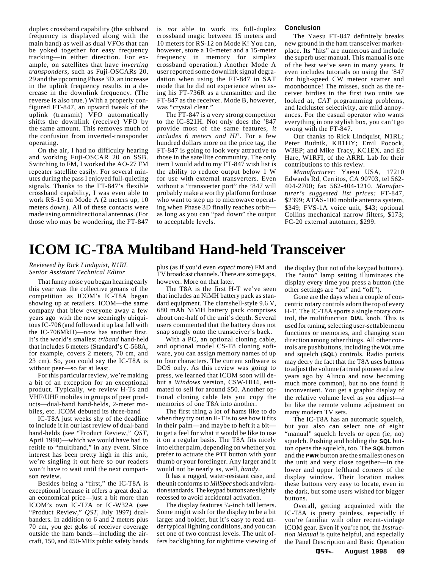<span id="page-6-0"></span>duplex crossband capability (the subband frequency is displayed along with the main band) as well as dual VFOs that can be yoked together for easy frequency tracking—in either direction. For example, on satellites that have *inverting transponders,* such as Fuji-OSCARs 20, 29 and the upcoming Phase 3D, an increase in the uplink frequency results in a decrease in the downlink frequency. (The reverse is also true.) With a properly configured FT-847, an upward tweak of the uplink (transmit) VFO automatically shifts the downlink (receive) VFO by the same amount. This removes much of the confusion from inverted-transponder operating.

On the air, I had no difficulty hearing and working Fuji-OSCAR 20 on SSB. Switching to FM, I worked the AO-27 FM repeater satellite easily. For several minutes during the pass I enjoyed full-quieting signals. Thanks to the FT-847's flexible crossband capability, I was even able to work RS-15 on Mode A (2 meters up, 10 meters down). All of these contacts were made using omnidirectional antennas. (For those who may be wondering, the FT-847 is *not* able to work its full-duplex crossband magic between 15 meters and 10 meters for RS-12 on Mode K! You can, however, store a 10-meter and a 15-meter frequency in memory for simplex crossband operation.) Another Mode A user reported some downlink signal degradation when using the FT-847 in SAT mode that he did not experience when using his FT-736R as a transmitter and the FT-847 as the receiver. Mode B, however, was "crystal clear."

The FT-847 is a very strong competitor to the IC-821H. Not only does the '847 provide most of the same features, *it includes 6 meters and HF*. For a few hundred dollars more on the price tag, the FT-847 is going to look very attractive to those in the satellite community. The only item I would add to my FT-847 wish list is the ability to reduce output below 1 W for use with external transverters. Even without a "transverter port" the '847 will probably make a worthy platform for those who want to step up to microwave operating when Phase 3D finally reaches orbit as long as you can "pad down" the output to acceptable levels.

#### **Conclusion**

The Yaesu FT-847 definitely breaks new ground in the ham transceiver marketplace. Its "hits" are numerous and include the superb user manual. This manual is one of the best we've seen in many years. It even includes tutorials on using the '847 for high-speed CW meteor scatter and moonbounce! The misses, such as the receiver birdies in the first two units we looked at, *CAT* programming problems, and lackluster selectivity, are mild annoyances. For the casual operator who wants everything in one stylish box, you can't go wrong with the FT-847.

Our thanks to Rick Lindquist, N1RL; Peter Budnik, KB1HY; Emil Pocock, W3EP; and Mike Tracy, KC1EX, and Ed Hare, W1RFI, of the ARRL Lab for their contributions to this review.

*Manufacturer*: Yaesu USA, 17210 Edwards Rd, Cerritos, CA 90703, tel 562- 404-2700; fax 562-404-1210. *Manufacturer's suggested list prices:* FT-847, \$2399; ATAS-100 mobile antenna system, \$349; FVS-1A voice unit, \$43; optional Collins mechanical narrow filters, \$173; FC-20 external autotuner, \$299.

## **ICOM IC-T8A Multiband Hand-held Transceiver**

#### *Reviewed by Rick Lindquist, N1RL Senior Assistant Technical Editor*

That funny noise you began hearing early this year was the collective groans of the competition as ICOM's IC-T8A began showing up at retailers. ICOM—the same company that blew everyone away a few years ago with the now seemingly ubiquitous IC-706 (and followed it up last fall with the IC-706MkII)—now has another first. It's the world's smallest *triband* hand-held that includes 6 meters (Standard's C-568A, for example, covers 2 meters, 70 cm, and 23 cm). So, you could say the IC-T8A is without peer—so far at least.

For this particular review, we're making a bit of an exception for an exceptional product. Typically, we review H-Ts and VHF/UHF mobiles in groups of peer products—dual-band hand-helds, 2-meter mobiles, etc. ICOM debuted its three-band

IC-T8A just weeks shy of the deadline to include it in our last review of dual-band hand-helds (see "Product Review," *QST*, April 1998)—which we would have had to retitle to "multiband," in any event. Since interest has been pretty high in this unit, we're singling it out here so our readers won't have to wait until the next comparison review.

Besides being a "first," the IC-T8A is exceptional because it offers a great deal at an economical price—just a bit more than ICOM's own IC-T7A or IC-W32A (see "Product Review," *QST*, July 1997) dualbanders. In addition to 6 and 2 meters plus 70 cm, you get gobs of receiver coverage outside the ham bands—including the aircraft, 150, and 450-MHz public safety bands

plus (as if you'd even *expect* more) FM and TV broadcast channels. There are some gaps, however. More on that later.

The T8A is the first H-T we've seen that includes an NiMH battery pack as standard equipment. The clamshell-style 9.6 V, 680 mAh NiMH battery pack comprises about one-half of the unit's depth. Several users commented that the battery does not snap snugly onto the transceiver's back.

With a PC, an optional cloning cable, and optional model CS-T8 cloning software, you can assign memory names of up to four characters. The current software is DOS only. As this review was going to press, we learned that ICOM soon will debut a *Windows* version, CSW-HH4, estimated to sell for around \$50. Another optional cloning cable lets you copy the memories of one T8A into another.

The first thing a lot of hams like to do when they try out an H-T is to see how it fits in their palm—and maybe to heft it a bit to get a feel for what it would be like to use it on a regular basis. The T8A fits nicely into either palm, depending on whether you prefer to actuate the **PTT** button with your thumb or your forefinger. Any larger and it would not be nearly as, well, *handy*.

It has a rugged, water-resistant case, and the unit conforms to *MilSpec* shock and vibration standards. The keypad buttons are slightly recessed to avoid accidental activation.

The display features  $\frac{1}{4}$ -inch tall letters. Some might wish for the display to be a bit larger and bolder, but it's easy to read under typical lighting conditions, and you can set one of two contrast levels. The unit offers backlighting for nighttime viewing of the display (but not of the keypad buttons). The "auto" lamp setting illuminates the display every time you press a button (the other settings are "on" and "off").

Gone are the days when a couple of concentric rotary controls adorn the top of every H-T. The IC-T8A sports a single rotary control, the multifunction **DIAL** knob. This is used for tuning, selecting user-settable menu functions or memories, and changing scan direction among other things. All other controls are pushbuttons, including the **VOL**ume and squelch (**SQL**) controls. Radio purists may decry the fact that the T8A uses buttons to adjust the volume (a trend pioneered a few years ago by Alinco and now becoming much more common), but no one found it inconvenient. You get a graphic display of the relative volume level as you adjust—a bit like the remote volume adjustment on many modern TV sets.

The IC-T8A has an automatic squelch, but you also can select one of eight "manual" squelch levels or open (ie, no) squelch. Pushing and holding the **SQL** button opens the squelch, too. The **SQL** button and the **PWR** button are the smallest ones on the unit and very close together—in the lower and upper lefthand corners of the display window. Their location makes these buttons very easy to locate, even in the dark, but some users wished for bigger buttons.

Overall, getting acquainted with the IC-T8A is pretty painless, especially if you're familiar with other recent-vintage ICOM gear. Even if you're not, the *Instruction Manual* is quite helpful, and especially the Panel Description and Basic Operation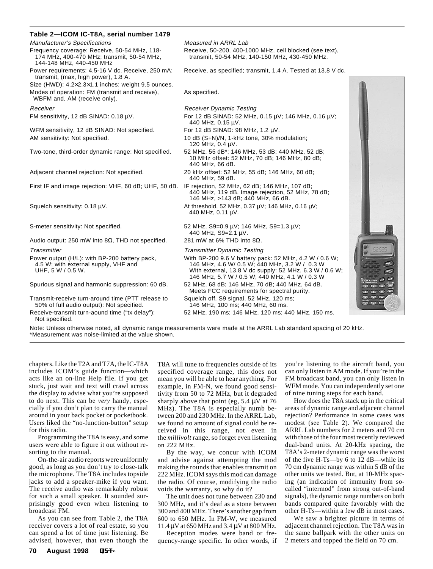| Table 2-ICOM IC-T8A, serial number 1479                                                                                |                                                                                                                                                                                                                      |                     |
|------------------------------------------------------------------------------------------------------------------------|----------------------------------------------------------------------------------------------------------------------------------------------------------------------------------------------------------------------|---------------------|
| <b>Manufacturer's Specifications</b>                                                                                   | Measured in ARRL Lab                                                                                                                                                                                                 |                     |
| Frequency coverage: Receive, 50-54 MHz, 118-<br>174 MHz, 400-470 MHz; transmit, 50-54 MHz,<br>144-148 MHz, 440-450 MHz | Receive, 50-200, 400-1000 MHz, cell blocked (see text),<br>transmit, 50-54 MHz, 140-150 MHz, 430-450 MHz.                                                                                                            |                     |
| Power requirements: 4.5-16 V dc. Receive, 250 mA;<br>transmit, (max, high power), 1.8 A.                               | Receive, as specified; transmit, 1.4 A. Tested at 13.8 V dc.                                                                                                                                                         |                     |
| Size (HWD): $4.2 \times 2.3 \times 1.1$ inches; weight 9.5 ounces.                                                     |                                                                                                                                                                                                                      |                     |
| Modes of operation: FM (transmit and receive),<br>WBFM and, AM (receive only).                                         | As specified.                                                                                                                                                                                                        |                     |
| Receiver                                                                                                               | <b>Receiver Dynamic Testing</b>                                                                                                                                                                                      |                     |
| FM sensitivity, 12 dB SINAD: 0.18 µV.                                                                                  | For 12 dB SINAD: 52 MHz, 0.15 μV; 146 MHz, 0.16 μV;<br>440 MHz, 0.15 µV.                                                                                                                                             |                     |
| WFM sensitivity, 12 dB SINAD: Not specified.                                                                           | For 12 dB SINAD: 98 MHz, 1.2 μV.                                                                                                                                                                                     |                     |
| AM sensitivity: Not specified.                                                                                         | 10 dB (S+N)/N, 1-kHz tone, 30% modulation;<br>120 MHz, 0.4 µV.                                                                                                                                                       |                     |
| Two-tone, third-order dynamic range: Not specified.                                                                    | 52 MHz, 55 dB*; 146 MHz, 53 dB; 440 MHz, 52 dB;<br>10 MHz offset: 52 MHz, 70 dB; 146 MHz, 80 dB;<br>440 MHz, 66 dB.                                                                                                  |                     |
| Adjacent channel rejection: Not specified.                                                                             | 20 kHz offset: 52 MHz, 55 dB; 146 MHz, 60 dB;<br>440 MHz, 59 dB.                                                                                                                                                     |                     |
| First IF and image rejection: VHF, 60 dB; UHF, 50 dB. IF rejection, 52 MHz, 62 dB; 146 MHz, 107 dB;                    | 440 MHz, 119 dB. Image rejection, 52 MHz, 78 dB;<br>146 MHz, >143 dB; 440 MHz, 66 dB.                                                                                                                                |                     |
| Squelch sensitivity: $0.18 \mu V$ .                                                                                    | At threshold, 52 MHz, 0.37 µV; 146 MHz, 0.16 µV;<br>440 MHz, 0.11 µV.                                                                                                                                                |                     |
| S-meter sensitivity: Not specified.                                                                                    | 52 MHz, S9=0.9 μV; 146 MHz, S9=1.3 μV;<br>440 MHz, S9=2.1 µV.                                                                                                                                                        |                     |
| Audio output: 250 mW into 8 $\Omega$ , THD not specified.                                                              | 281 mW at 6% THD into $8\Omega$ .                                                                                                                                                                                    |                     |
| <b>Transmitter</b>                                                                                                     | <b>Transmitter Dynamic Testing</b>                                                                                                                                                                                   |                     |
| Power output (H/L): with BP-200 battery pack,<br>4.5 W; with external supply, VHF and<br>UHF, 5 W / 0.5 W.             | With BP-200 9.6 V battery pack: 52 MHz, 4.2 W / 0.6 W;<br>146 MHz, 4.6 W/ 0.5 W; 440 MHz, 3.2 W / 0.3 W<br>With external, 13.8 V dc supply: 52 MHz, 6.3 W / 0.6 W;<br>146 MHz, 5.7 W / 0.5 W; 440 MHz, 4.1 W / 0.3 W |                     |
| Spurious signal and harmonic suppression: 60 dB.                                                                       | 52 MHz, 68 dB; 146 MHz, 70 dB; 440 MHz, 64 dB.<br>Meets FCC requirements for spectral purity.                                                                                                                        | $(3)$ $(3)$ $(4)$   |
| Transmit-receive turn-around time (PTT release to<br>50% of full audio output): Not specified.                         | Squelch off, S9 signal, 52 MHz, 120 ms;<br>146 MHz, 100 ms; 440 MHz, 60 ms.                                                                                                                                          | $\bullet$ $\bullet$ |
| Receive-transmit turn-aound time ("tx delay"):<br>Not specified.                                                       | 52 MHz, 190 ms; 146 MHz, 120 ms; 440 MHz, 150 ms.                                                                                                                                                                    |                     |

Note: Unless otherwise noted, all dynamic range measurements were made at the ARRL Lab standard spacing of 20 kHz. \*Measurement was noise-limited at the value shown.

chapters. Like the T2A and T7A, the IC-T8A includes ICOM's guide function—which acts like an on-line Help file. If you get stuck, just wait and text will crawl across the display to advise what you're supposed to do next. This can be *very* handy, especially if you don't plan to carry the manual around in your back pocket or pocketbook. Users liked the "no-function-button" setup for this radio.

Programming the T8A is easy, and some users were able to figure it out without resorting to the manual.

On-the-air audio reports were uniformly good, as long as you don't try to close-talk the microphone. The T8A includes topside jacks to add a speaker-mike if you want. The receive audio was remarkably robust for such a small speaker. It sounded surprisingly good even when listening to broadcast FM.

As you can see from Table 2, the T8A receiver covers a lot of real estate, so you can spend a lot of time just listening. Be advised, however, that even though the

T8A will tune to frequencies outside of its specified coverage range, this does not mean you will be able to hear anything. For example, in FM-N, we found good sensitivity from 50 to 72 MHz, but it degraded sharply above that point (eg,  $5.4 \mu V$  at 76 MHz). The T8A is especially numb between 200 and 230 MHz. In the ARRL Lab, we found no amount of signal could be received in this range, not even in the *millivolt* range, so forget even listening on 222 MHz.

By the way, we concur with ICOM and advise against attempting the mod making the rounds that enables transmit on 222 MHz. ICOM says this mod can damage the radio. Of course, modifying the radio voids the warranty, so why do it?

The unit does not tune between 230 and 300 MHz, and it's deaf as a stone between 300 and 400 MHz. There's another gap from 600 to 650 MHz. In FM-W, we measured 11.4 µV at 650 MHz and 3.4 µV at 800 MHz.

Reception modes were band or frequency-range specific. In other words, if you're listening to the aircraft band, you can only listen in AM mode. If you're in the FM broadcast band, you can only listen in WFM mode. You can independently set one of nine tuning steps for each band.

How does the T8A stack up in the critical areas of dynamic range and adjacent channel rejection? Performance in some cases was modest (see Table 2). We compared the ARRL Lab numbers for 2 meters and 70 cm with those of the four most recently reviewed dual-band units. At 20-kHz spacing, the T8A's 2-meter dynamic range was the worst of the five H-Ts—by 6 to 12 dB—while its 70 cm dynamic range was within 5 dB of the other units we tested. But, at 10-MHz spacing (an indication of immunity from socalled "intermod" from strong out-of-band signals), the dynamic range numbers on both bands compared quite favorably with the other H-Ts—within a few dB in most cases.

We saw a brighter picture in terms of adjacent channel rejection. The T8A was in the same ballpark with the other units on 2 meters and topped the field on 70 cm.